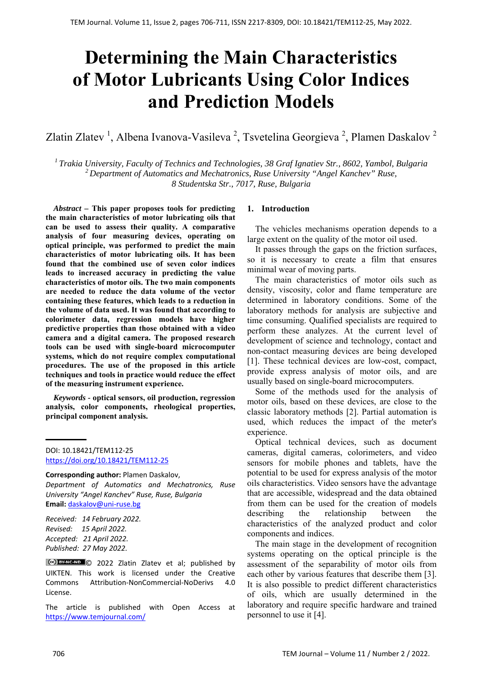# **Determining the Main Characteristics of Motor Lubricants Using Color Indices and Prediction Models**

Zlatin Zlatev<sup>1</sup>, Albena Ivanova-Vasileva<sup>2</sup>, Tsvetelina Georgieva<sup>2</sup>, Plamen Daskalov<sup>2</sup>

*1 Trakia University, Faculty of Technics and Technologies, 38 Graf Ignatiev Str., 8602, Yambol, Bulgaria 2 Department of Automatics and Mechatronics, Ruse University "Angel Kanchev" Ruse, 8 Studentska Str., 7017, Ruse, Bulgaria*

*Abstract –* **This paper proposes tools for predicting the main characteristics of motor lubricating oils that can be used to assess their quality. A comparative analysis of four measuring devices, operating on optical principle, was performed to predict the main characteristics of motor lubricating oils. It has been found that the combined use of seven color indices leads to increased accuracy in predicting the value characteristics of motor oils. The two main components are needed to reduce the data volume of the vector containing these features, which leads to a reduction in the volume of data used. It was found that according to colorimeter data, regression models have higher predictive properties than those obtained with a video camera and a digital camera. The proposed research tools can be used with single-board microcomputer systems, which do not require complex computational procedures. The use of the proposed in this article techniques and tools in practice would reduce the effect of the measuring instrument experience.**

*Keywords -* **optical sensors, oil production, regression analysis, color components, rheological properties, principal component analysis.** 

DOI: 10.18421/TEM112-25 [https://doi.org/10.18421/TEM112](https://doi.org/10.18421/TEM112-25)-25

**Corresponding author:** Plamen Daskalov, *Department of Automatics and Mechatronics, Ruse University "Angel Kanchev" Ruse, Ruse, Bulgaria*  **Email:** daskalov@uni‐ruse.bg

*Received: 14 February 2022. Revised: 15 April 2022. Accepted: 21 April 2022. Published: 27 May 2022.* 

C<sup>ce</sup>) BY-NC-ND C 2022 Zlatin Zlatev et al; published by UIKTEN. This work is licensed under the Creative Commons Attribution‐NonCommercial‐NoDerivs 4.0 License.

The article is published with Open Access at https://www.temjournal.com/

# **1. Introduction**

The vehicles mechanisms operation depends to a large extent on the quality of the motor oil used.

It passes through the gaps on the friction surfaces, so it is necessary to create a film that ensures minimal wear of moving parts.

The main characteristics of motor oils such as density, viscosity, color and flame temperature are determined in laboratory conditions. Some of the laboratory methods for analysis are subjective and time consuming. Qualified specialists are required to perform these analyzes. At the current level of development of science and technology, contact and non-contact measuring devices are being developed [1]. These technical devices are low-cost, compact, provide express analysis of motor oils, and are usually based on single-board microcomputers.

Some of the methods used for the analysis of motor oils, based on these devices, are close to the classic laboratory methods [2]. Partial automation is used, which reduces the impact of the meter's experience.

Optical technical devices, such as document cameras, digital cameras, colorimeters, and video sensors for mobile phones and tablets, have the potential to be used for express analysis of the motor oils characteristics. Video sensors have the advantage that are accessible, widespread and the data obtained from them can be used for the creation of models describing the relationship between the characteristics of the analyzed product and color components and indices.

The main stage in the development of recognition systems operating on the optical principle is the assessment of the separability of motor oils from each other by various features that describe them [3]. It is also possible to predict different characteristics of oils, which are usually determined in the laboratory and require specific hardware and trained personnel to use it [4].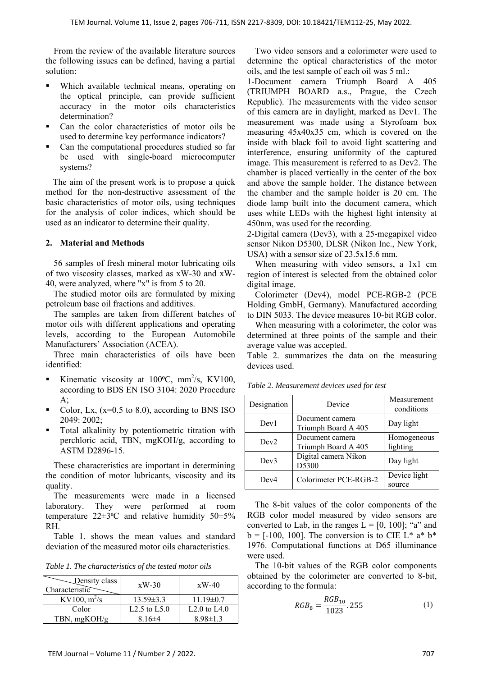From the review of the available literature sources the following issues can be defined, having a partial solution:

- Which available technical means, operating on the optical principle, can provide sufficient accuracy in the motor oils characteristics determination?
- Can the color characteristics of motor oils be used to determine key performance indicators?
- Can the computational procedures studied so far be used with single-board microcomputer systems?

The aim of the present work is to propose a quick method for the non-destructive assessment of the basic characteristics of motor oils, using techniques for the analysis of color indices, which should be used as an indicator to determine their quality.

# **2. Material and Methods**

56 samples of fresh mineral motor lubricating oils of two viscosity classes, marked as xW-30 and xW-40, were analyzed, where "x" is from 5 to 20.

The studied motor oils are formulated by mixing petroleum base oil fractions and additives.

The samples are taken from different batches of motor oils with different applications and operating levels, according to the European Automobile Manufacturers' Association (ACEA).

Three main characteristics of oils have been identified:

- Kinematic viscosity at  $100^{\circ}$ C, mm<sup>2</sup>/s, KV100, according to BDS EN ISO 3104: 2020 Procedure  $A$ ;
- Color, Lx,  $(x=0.5 \text{ to } 8.0)$ , according to BNS ISO 2049: 2002;
- Total alkalinity by potentiometric titration with perchloric acid, TBN, mgKOH/g, according to ASTM D2896-15.

These characteristics are important in determining the condition of motor lubricants, viscosity and its quality.

The measurements were made in a licensed laboratory. They were performed at room temperature  $22 \pm 3$ °C and relative humidity  $50 \pm 5$ % RH.

Table 1. shows the mean values and standard deviation of the measured motor oils characteristics.

*Table 1. The characteristics of the tested motor oils* 

| Density class<br>Characteristic | $xW-30$         | $xW-40$         |
|---------------------------------|-----------------|-----------------|
| KV100, $m^2/s$                  | $13.59 \pm 3.3$ | $11.19 \pm 0.7$ |
| Color                           | L2.5 to $L5.0$  | L2.0 to L4.0    |
| TBN, mgKOH/g                    | $8.16\pm4$      | $8.98 \pm 1.3$  |

Two video sensors and a colorimeter were used to determine the optical characteristics of the motor oils, and the test sample of each oil was 5 ml.:

1-Document camera Triumph Board A 405 (TRIUMPH BOARD a.s., Prague, the Czech Republic). The measurements with the video sensor of this camera are in daylight, marked as Dev1. The measurement was made using a Styrofoam box measuring 45x40x35 cm, which is covered on the inside with black foil to avoid light scattering and interference, ensuring uniformity of the captured image. This measurement is referred to as Dev2. The chamber is placed vertically in the center of the box and above the sample holder. The distance between the chamber and the sample holder is 20 cm. The diode lamp built into the document camera, which uses white LEDs with the highest light intensity at 450nm, was used for the recording.

2-Digital camera (Dev3), with a 25-megapixel video sensor Nikon D5300, DLSR (Nikon Inc., New York, USA) with a sensor size of 23.5x15.6 mm.

When measuring with video sensors, a 1x1 cm region of interest is selected from the obtained color digital image.

Colorimeter (Dev4), model PCE-RGB-2 (PCE Holding GmbH, Germany). Manufactured according to DIN 5033. The device measures 10-bit RGB color.

When measuring with a colorimeter, the color was determined at three points of the sample and their average value was accepted.

Table 2. summarizes the data on the measuring devices used.

| Designation | Device                                 | Measurement<br>conditions |
|-------------|----------------------------------------|---------------------------|
| Dev1        | Document camera<br>Triumph Board A 405 | Day light                 |
| Dev2        | Document camera<br>Triumph Board A 405 | Homogeneous<br>lighting   |
| Dev3        | Digital camera Nikon<br>D5300          | Day light                 |
| Dev4        | Colorimeter PCE-RGB-2                  | Device light<br>source    |

*Table 2. Measurement devices used for test* 

The 8-bit values of the color components of the RGB color model measured by video sensors are converted to Lab, in the ranges  $L = [0, 100]$ ; "a" and  $b = [-100, 100]$ . The conversion is to CIE L<sup>\*</sup> a<sup>\*</sup> b<sup>\*</sup> 1976. Computational functions at D65 illuminance were used.

The 10-bit values of the RGB color components obtained by the colorimeter are converted to 8-bit, according to the formula:

$$
RGB_8 = \frac{RGB_{10}}{1023} \cdot 255\tag{1}
$$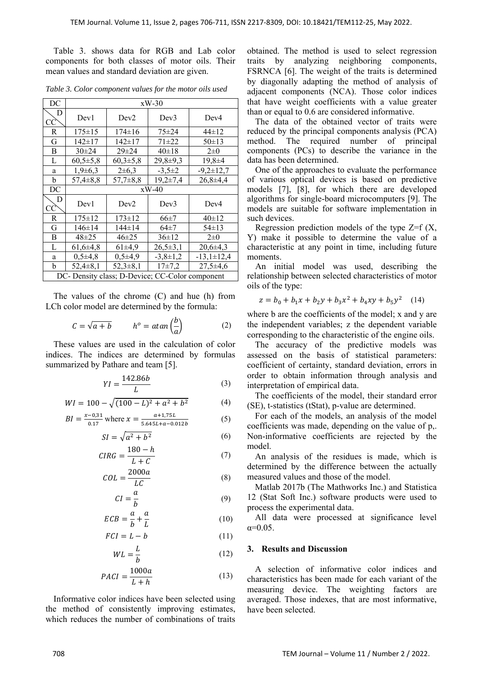Table 3. shows data for RGB and Lab color components for both classes of motor oils. Their mean values and standard deviation are given.

| DC                                              | $xW-30$        |                |                |                  |  |  |  |
|-------------------------------------------------|----------------|----------------|----------------|------------------|--|--|--|
| D<br>CC                                         | Dev1           | Dev2           | Dev3           | Dev4             |  |  |  |
| R                                               | $175 \pm 15$   | $174 \pm 16$   | $75 + 24$      | 44±12            |  |  |  |
| G                                               | $142 \pm 17$   | $142 \pm 17$   | $71 + 22$      | $50 \pm 13$      |  |  |  |
| B                                               | $30 \pm 24$    | $29 \pm 24$    | 40±18          | $2\pm 0$         |  |  |  |
| L                                               | $60,5{\pm}5,8$ | $60,3{\pm}5.8$ | $29,8+9,3$     | $19,8 \pm 4$     |  |  |  |
| a                                               | $1,9\pm 6,3$   | $2\pm 6.3$     | $-3,5\pm 2$    | $-9,2 \pm 12,7$  |  |  |  |
| b                                               | $57,4 \pm 8,8$ | $57,7\pm8,8$   | $19,2{\pm}7,4$ | $26,8+4,4$       |  |  |  |
| DC                                              | $xW-40$        |                |                |                  |  |  |  |
| D<br>CC                                         | Dev1           | Dev2           | Dev3           | Dev4             |  |  |  |
| R                                               | $175 \pm 12$   | $173 \pm 12$   | $66\pm7$       | $40 \pm 12$      |  |  |  |
| G                                               | $146 \pm 14$   | $144 \pm 14$   | 64±7           | $54 \pm 13$      |  |  |  |
| B                                               | $48 + 25$      | $46 \pm 25$    | 36±12          | $2\pm 0$         |  |  |  |
| L                                               | $61,6{\pm}4,8$ | $61\pm4.9$     | $26.5 \pm 3.1$ | $20,6\pm 4,3$    |  |  |  |
| a                                               | $0,5\pm 4,8$   | $0,5\pm 4,9$   | $-3.8 \pm 1.2$ | $-13,1 \pm 12,4$ |  |  |  |
| b                                               | $52,4 \pm 8,1$ | $52.3 \pm 8.1$ | $17\pm7.2$     | $27,5\pm4,6$     |  |  |  |
| DC- Density class; D-Device; CC-Color component |                |                |                |                  |  |  |  |

*Table 3. Color component values for the motor oils used* 

The values of the chrome (C) and hue (h) from LCh color model are determined by the formula:

$$
C = \sqrt{a+b} \qquad \qquad h^o = \text{atan}\left(\frac{b}{a}\right) \tag{2}
$$

These values are used in the calculation of color indices. The indices are determined by formulas summarized by Pathare and team [5].

$$
YI = \frac{142.86b}{L} \tag{3}
$$

$$
WI = 100 - \sqrt{(100 - L)^2 + a^2 + b^2} \tag{4}
$$

$$
BI = \frac{x - 0.31}{0.17} \text{ where } x = \frac{a + 1.75L}{5.645L + a - 0.012b} \tag{5}
$$

$$
SI = \sqrt{a^2 + b^2} \tag{6}
$$

$$
CIRG = \frac{180 - h}{L + C} \tag{7}
$$

$$
COL = \frac{2000a}{LC}
$$
 (8)

$$
CI = \frac{a}{b} \tag{9}
$$

$$
ECB = \frac{a}{b} + \frac{a}{L} \tag{10}
$$

$$
FCI = L - b \tag{11}
$$

$$
WL = \frac{L}{b} \tag{12}
$$

$$
PACI = \frac{1000a}{L+h} \tag{13}
$$

Informative color indices have been selected using the method of consistently improving estimates, which reduces the number of combinations of traits obtained. The method is used to select regression traits by analyzing neighboring components, FSRNCA [6]. The weight of the traits is determined by diagonally adapting the method of analysis of adjacent components (NCA). Those color indices that have weight coefficients with a value greater than or equal to 0.6 are considered informative.

The data of the obtained vector of traits were reduced by the principal components analysis (PCA) method. The required number of principal components (PCs) to describe the variance in the data has been determined.

One of the approaches to evaluate the performance of various optical devices is based on predictive models [7], [8], for which there are developed algorithms for single-board microcomputers [9]. The models are suitable for software implementation in such devices.

Regression prediction models of the type  $Z=f(X)$ , Y) make it possible to determine the value of a characteristic at any point in time, including future moments.

An initial model was used, describing the relationship between selected characteristics of motor oils of the type:

$$
z = b_0 + b_1 x + b_2 y + b_3 x^2 + b_4 xy + b_5 y^2 \quad (14)
$$

where b are the coefficients of the model; x and y are the independent variables; z the dependent variable corresponding to the characteristic of the engine oils.

The accuracy of the predictive models was assessed on the basis of statistical parameters: coefficient of certainty, standard deviation, errors in order to obtain information through analysis and interpretation of empirical data.

The coefficients of the model, their standard error (SE), t-statistics (tStat), p-value are determined.

For each of the models, an analysis of the model coefficients was made, depending on the value of p,. Non-informative coefficients are rejected by the model.

An analysis of the residues is made, which is determined by the difference between the actually measured values and those of the model.

Matlab 2017b (The Mathworks Inc.) and Statistica 12 (Stat Soft Inc.) software products were used to process the experimental data.

All data were processed at significance level  $\alpha = 0.05$ .

### **3. Results and Discussion**

A selection of informative color indices and characteristics has been made for each variant of the measuring device. The weighting factors are averaged. Those indexes, that are most informative, have been selected.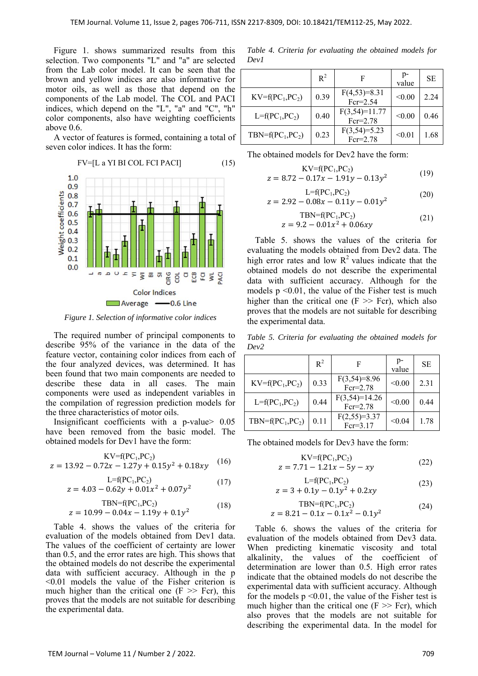Figure 1. shows summarized results from this selection. Two components "L" and "a" are selected from the Lab color model. It can be seen that the brown and yellow indices are also informative for motor oils, as well as those that depend on the components of the Lab model. The COL and PACI indices, which depend on the "L", "a" and "C", "h" color components, also have weighting coefficients above 0.6.

A vector of features is formed, containing a total of seven color indices. It has the form:



*Figure 1. Selection of informative color indices* 

The required number of principal components to describe 95% of the variance in the data of the feature vector, containing color indices from each of the four analyzed devices, was determined. It has been found that two main components are needed to describe these data in all cases. The main components were used as independent variables in the compilation of regression prediction models for the three characteristics of motor oils.

Insignificant coefficients with a p-value> 0.05 have been removed from the basic model. The obtained models for Dev1 have the form:

$$
KV=f(PC1, PC2)
$$
  
z = 13.92 - 0.72x - 1.27y + 0.15y<sup>2</sup> + 0.18xy (16)

$$
L=f(PC1, PC2)
$$
  
z = 4.03 - 0.62y + 0.01x<sup>2</sup> + 0.07y<sup>2</sup> (17)

$$
TBN=f(PC1, PC2)
$$
  
z = 10.99 - 0.04x - 1.19y + 0.1y<sup>2</sup> (18)

Table 4. shows the values of the criteria for evaluation of the models obtained from Dev1 data. The values of the coefficient of certainty are lower than 0.5, and the error rates are high. This shows that the obtained models do not describe the experimental data with sufficient accuracy. Although in the p <0.01 models the value of the Fisher criterion is much higher than the critical one  $(F \gg Fcr)$ , this proves that the models are not suitable for describing the experimental data.

*Table 4. Criteria for evaluating the obtained models for Dev1* 

|                     | $R^2$ | F                              | p-<br>value | SE.  |
|---------------------|-------|--------------------------------|-------------|------|
| $KV=f(PC_1, PC_2)$  | 0.39  | $F(4,53)=8.31$<br>$Fcr = 2.54$ | < 0.00      | 2.24 |
| $L = f(PC_1, PC_2)$ | 0.40  | $F(3,54)=11.77$<br>$Fcr=2.78$  | < 0.00      | 0.46 |
| $TBN=f(PC_1, PC_2)$ | 0.23  | $F(3,54)=5.23$<br>$Fcr=2.78$   | < 0.01      | 1.68 |

The obtained models for Dev2 have the form:

$$
KV=f(PC1, PC2)
$$
  
z = 8.72 - 0.17x - 1.91y - 0.13y<sup>2</sup> (19)

$$
L=f(PC1, PC2)
$$
  
z = 2.92 - 0.08x - 0.11y - 0.01y<sup>2</sup> (20)

$$
TBN=f(PC1, PC2)
$$
  
z = 9.2 - 0.01x<sup>2</sup> + 0.06xy (21)

Table 5. shows the values of the criteria for evaluating the models obtained from Dev2 data. The high error rates and low  $R^2$  values indicate that the obtained models do not describe the experimental data with sufficient accuracy. Although for the models  $p \le 0.01$ , the value of the Fisher test is much higher than the critical one  $(F \gg Fcr)$ , which also proves that the models are not suitable for describing the experimental data.

*Table 5. Criteria for evaluating the obtained models for Dev2* 

|                     | $R^2$ | F                             | p-<br>value | SE   |
|---------------------|-------|-------------------------------|-------------|------|
| $KV=f(PC_1, PC_2)$  | 0.33  | $F(3,54)=8.96$<br>$Fcr=2.78$  | < 0.00      | 2.31 |
| $L = f(PC_1, PC_2)$ | 0.44  | $F(3,54)=14.26$<br>$Fcr=2.78$ | < 0.00      | 0.44 |
| $TBN=f(PC_1, PC_2)$ | 0.11  | $F(2,55)=3.37$<br>$Fcr=3.17$  | < 0.04      | 1.78 |

The obtained models for Dev3 have the form:

$$
KV=f(PC1, PC2)
$$
  
z = 7.71 – 1.21x – 5y – xy (22)

$$
L=f(PC1, PC2)
$$
  
z = 3 + 0.1y - 0.1y<sup>2</sup> + 0.2xy (23)

$$
TBN=f(PC_1, PC_2)
$$
  
z = 8.21 - 0.1x - 0.1x<sup>2</sup> - 0.1y<sup>2</sup> (24)

Table 6. shows the values of the criteria for evaluation of the models obtained from Dev3 data. When predicting kinematic viscosity and total alkalinity, the values of the coefficient of determination are lower than 0.5. High error rates indicate that the obtained models do not describe the experimental data with sufficient accuracy. Although for the models  $p \le 0.01$ , the value of the Fisher test is much higher than the critical one  $(F \gg Fcr)$ , which also proves that the models are not suitable for describing the experimental data. In the model for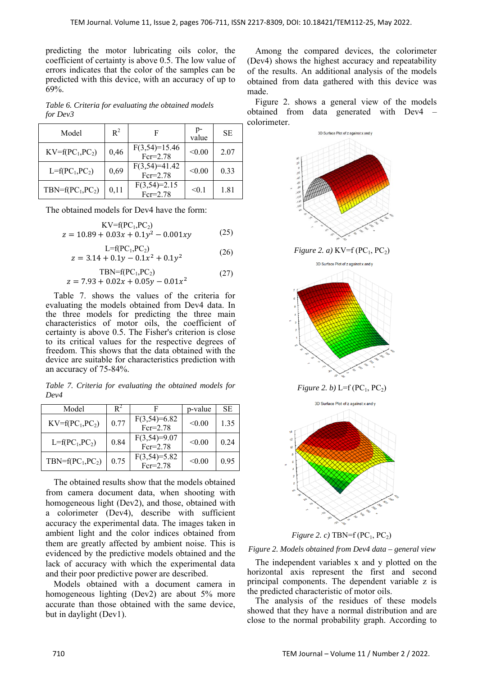predicting the motor lubricating oils color, the coefficient of certainty is above 0.5. The low value of errors indicates that the color of the samples can be predicted with this device, with an accuracy of up to 69%.

*Table 6. Criteria for evaluating the obtained models for Dev3* 

| Model               | $R^2$ |                               | p-<br>value | SE.  |
|---------------------|-------|-------------------------------|-------------|------|
| $KV=f(PC_1, PC_2)$  | 0,46  | $F(3,54)=15.46$<br>$Fcr=2.78$ | < 0.00      | 2.07 |
| $L = f(PC_1, PC_2)$ | 0,69  | $F(3,54)=41.42$<br>$Fcr=2.78$ | < 0.00      | 0.33 |
| $TBN=f(PC_1, PC_2)$ | 0,11  | $F(3,54)=2.15$<br>$Fcr=2.78$  | < 0.1       | 1.81 |

The obtained models for Dev4 have the form:

$$
KV=f(PC1, PC2)
$$
  
z = 10.89 + 0.03x + 0.1y<sup>2</sup> – 0.001xy (25)

$$
L=f(PC_1, PC_2)
$$
  
z = 3.14 + 0.1y - 0.1x<sup>2</sup> + 0.1y<sup>2</sup> (26)

$$
TBN=f(PC1, PC2)
$$
  
z = 7.93 + 0.02x + 0.05y - 0.01x<sup>2</sup> (27)

Table 7. shows the values of the criteria for evaluating the models obtained from Dev4 data. In the three models for predicting the three main characteristics of motor oils, the coefficient of certainty is above 0.5. The Fisher's criterion is close to its critical values for the respective degrees of freedom. This shows that the data obtained with the device are suitable for characteristics prediction with an accuracy of 75-84%.

*Table 7. Criteria for evaluating the obtained models for Dev4* 

| Model               |      |                              | p-value | SE.  |
|---------------------|------|------------------------------|---------|------|
| $KV=f(PC_1, PC_2)$  | 0.77 | $F(3,54)=6.82$<br>$Fcr=2.78$ | < 0.00  | 1.35 |
| $L = f(PC_1, PC_2)$ | 0.84 | $F(3,54)=9.07$<br>$Fcr=2.78$ | < 0.00  | 0.24 |
| $TBN=f(PC_1, PC_2)$ | 0.75 | $F(3,54)=5.82$<br>$Fcr=2.78$ | < 0.00  | 0.95 |

The obtained results show that the models obtained from camera document data, when shooting with homogeneous light (Dev2), and those, obtained with a colorimeter (Dev4), describe with sufficient accuracy the experimental data. The images taken in ambient light and the color indices obtained from them are greatly affected by ambient noise. This is evidenced by the predictive models obtained and the lack of accuracy with which the experimental data and their poor predictive power are described.

Models obtained with a document camera in homogeneous lighting (Dev2) are about 5% more accurate than those obtained with the same device, but in daylight (Dev1).

Among the compared devices, the colorimeter (Dev4) shows the highest accuracy and repeatability of the results. An additional analysis of the models obtained from data gathered with this device was made.

Figure 2. shows a general view of the models obtained from data generated with Dev4 – colorimeter.



*Figure 2. c)*  $TBN=f(PC_1, PC_2)$ 

*Figure 2. Models obtained from Dev4 data – general view* 

The independent variables x and y plotted on the horizontal axis represent the first and second principal components. The dependent variable z is the predicted characteristic of motor oils.

The analysis of the residues of these models showed that they have a normal distribution and are close to the normal probability graph. According to